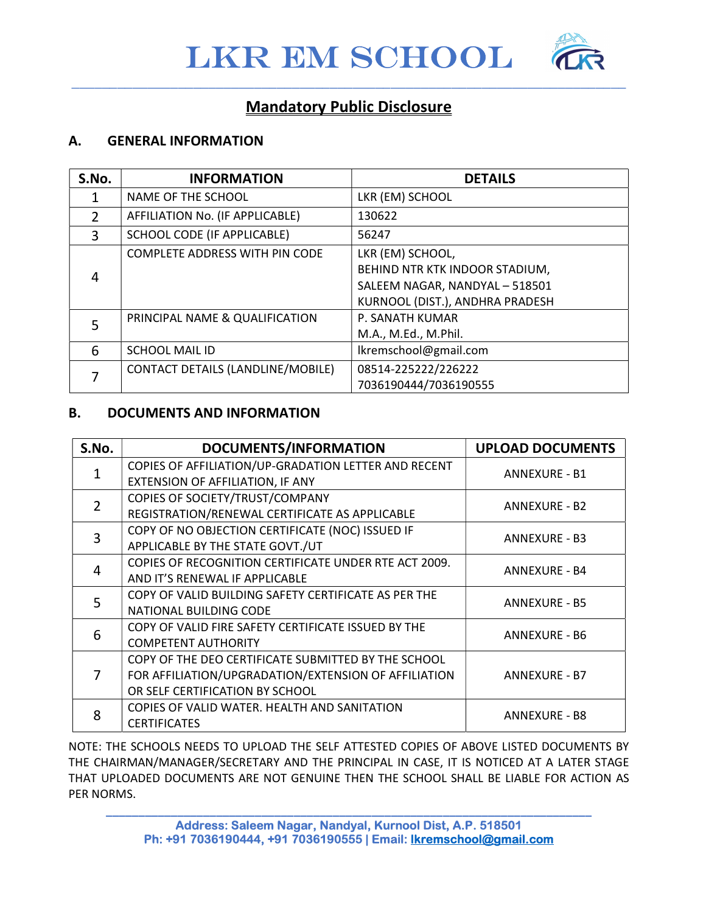

 $\overline{a_1}$  ,  $\overline{a_2}$  ,  $\overline{a_3}$  ,  $\overline{a_4}$  ,  $\overline{a_5}$  ,  $\overline{a_6}$  ,  $\overline{a_7}$  ,  $\overline{a_8}$  ,  $\overline{a_9}$  ,  $\overline{a_9}$  ,  $\overline{a_9}$  ,  $\overline{a_9}$  ,  $\overline{a_9}$  ,  $\overline{a_9}$  ,  $\overline{a_9}$  ,  $\overline{a_9}$  ,  $\overline{a_9}$  ,



## Mandatory Public Disclosure

#### A. GENERAL INFORMATION

| S.No.         | <b>INFORMATION</b>                             | <b>DETAILS</b>                  |
|---------------|------------------------------------------------|---------------------------------|
|               | NAME OF THE SCHOOL                             | LKR (EM) SCHOOL                 |
| $\mathcal{P}$ | AFFILIATION No. (IF APPLICABLE)                | 130622                          |
| 3             | SCHOOL CODE (IF APPLICABLE)                    | 56247                           |
|               | <b>COMPLETE ADDRESS WITH PIN CODE</b>          | LKR (EM) SCHOOL,                |
| 4             |                                                | BEHIND NTR KTK INDOOR STADIUM,  |
|               |                                                | SALEEM NAGAR, NANDYAL - 518501  |
|               |                                                | KURNOOL (DIST.), ANDHRA PRADESH |
| 5             | PRINCIPAL NAME & QUALIFICATION                 | P. SANATH KUMAR                 |
|               |                                                | M.A., M.Ed., M.Phil.            |
| 6             | Ikremschool@gmail.com<br><b>SCHOOL MAIL ID</b> |                                 |
|               | CONTACT DETAILS (LANDLINE/MOBILE)              | 08514-225222/226222             |
|               |                                                | 7036190444/7036190555           |

#### B. DOCUMENTS AND INFORMATION

| S.No.          | DOCUMENTS/INFORMATION                                 | <b>UPLOAD DOCUMENTS</b> |  |
|----------------|-------------------------------------------------------|-------------------------|--|
| $\mathbf{1}$   | COPIES OF AFFILIATION/UP-GRADATION LETTER AND RECENT  | <b>ANNEXURE - B1</b>    |  |
|                | EXTENSION OF AFFILIATION, IF ANY                      |                         |  |
| $\overline{2}$ | COPIES OF SOCIETY/TRUST/COMPANY                       | <b>ANNEXURE - B2</b>    |  |
|                | REGISTRATION/RENEWAL CERTIFICATE AS APPLICABLE        |                         |  |
| 3              | COPY OF NO OBJECTION CERTIFICATE (NOC) ISSUED IF      | <b>ANNEXURE - B3</b>    |  |
|                | APPLICABLE BY THE STATE GOVT./UT                      |                         |  |
| 4              | COPIES OF RECOGNITION CERTIFICATE UNDER RTE ACT 2009. | <b>ANNEXURE - B4</b>    |  |
|                | AND IT'S RENEWAL IF APPLICABLE                        |                         |  |
| 5              | COPY OF VALID BUILDING SAFETY CERTIFICATE AS PER THE  | <b>ANNEXURE - B5</b>    |  |
|                | NATIONAL BUILDING CODE                                |                         |  |
| 6              | COPY OF VALID FIRE SAFETY CERTIFICATE ISSUED BY THE   | <b>ANNEXURE - B6</b>    |  |
|                | <b>COMPETENT AUTHORITY</b>                            |                         |  |
|                | COPY OF THE DEO CERTIFICATE SUBMITTED BY THE SCHOOL   |                         |  |
| 7              | FOR AFFILIATION/UPGRADATION/EXTENSION OF AFFILIATION  | <b>ANNEXURE - B7</b>    |  |
|                | OR SELF CERTIFICATION BY SCHOOL                       |                         |  |
| 8              | COPIES OF VALID WATER. HEALTH AND SANITATION          | <b>ANNEXURE - B8</b>    |  |
|                | <b>CERTIFICATES</b>                                   |                         |  |

NOTE: THE SCHOOLS NEEDS TO UPLOAD THE SELF ATTESTED COPIES OF ABOVE LISTED DOCUMENTS BY THE CHAIRMAN/MANAGER/SECRETARY AND THE PRINCIPAL IN CASE, IT IS NOTICED AT A LATER STAGE THAT UPLOADED DOCUMENTS ARE NOT GENUINE THEN THE SCHOOL SHALL BE LIABLE FOR ACTION AS PER NORMS.

\_\_\_\_\_\_\_\_\_\_\_\_\_\_\_\_\_\_\_\_\_\_\_\_\_\_\_\_\_\_\_\_\_\_\_\_\_\_\_\_\_\_\_\_\_\_\_\_\_\_\_\_\_\_\_\_\_\_\_\_\_\_\_\_\_\_\_\_\_\_\_\_\_\_\_ Address: Saleem Nagar, Nandyal, Kurnool Dist, A.P. 518501 Ph: +91 7036190444, +91 7036190555 | Email: lkremschool@gmail.com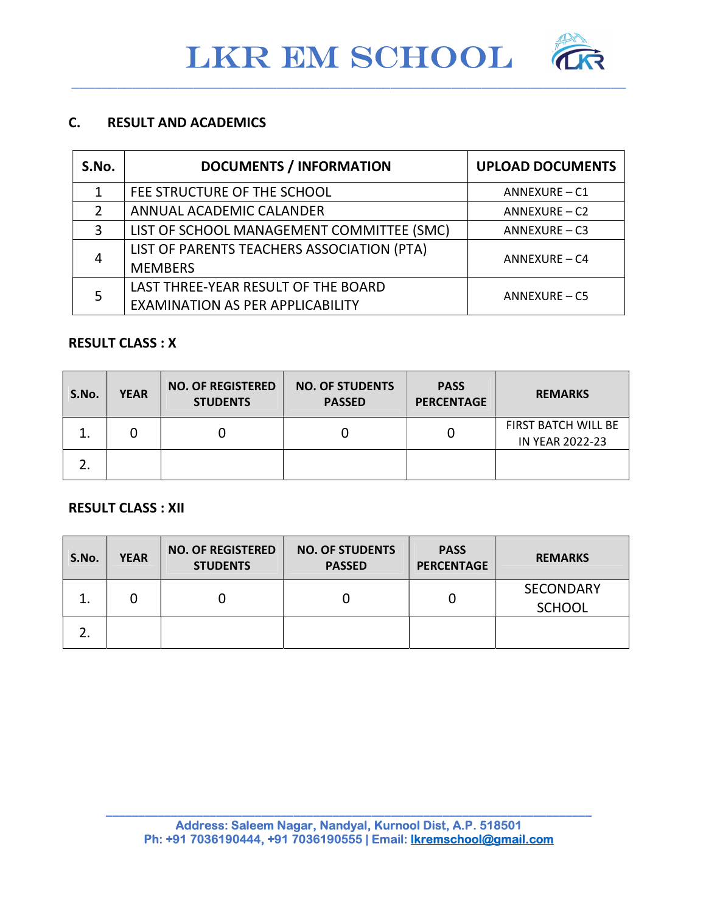$\overline{a_1}$  ,  $\overline{a_2}$  ,  $\overline{a_3}$  ,  $\overline{a_4}$  ,  $\overline{a_5}$  ,  $\overline{a_6}$  ,  $\overline{a_7}$  ,  $\overline{a_8}$  ,  $\overline{a_9}$  ,  $\overline{a_9}$  ,  $\overline{a_9}$  ,  $\overline{a_9}$  ,  $\overline{a_9}$  ,  $\overline{a_9}$  ,  $\overline{a_9}$  ,  $\overline{a_9}$  ,  $\overline{a_9}$  ,



### C. RESULT AND ACADEMICS

| S.No. | <b>DOCUMENTS / INFORMATION</b>                                | <b>UPLOAD DOCUMENTS</b> |  |
|-------|---------------------------------------------------------------|-------------------------|--|
|       | FEE STRUCTURE OF THE SCHOOL                                   | ANNEXURE - C1           |  |
|       | ANNUAL ACADEMIC CALANDER                                      | ANNEXURE - C2           |  |
| 3     | LIST OF SCHOOL MANAGEMENT COMMITTEE (SMC)                     | ANNEXURE-C3             |  |
| 4     | LIST OF PARENTS TEACHERS ASSOCIATION (PTA)<br>$ANNEXURE - CA$ |                         |  |
|       | <b>MEMBERS</b>                                                |                         |  |
|       | LAST THREE-YEAR RESULT OF THE BOARD                           | <b>ANNEXURE - C5</b>    |  |
|       | <b>EXAMINATION AS PER APPLICABILITY</b>                       |                         |  |

#### RESULT CLASS : X

| S.No.    | <b>YEAR</b> | <b>NO. OF REGISTERED</b><br><b>STUDENTS</b> | <b>NO. OF STUDENTS</b><br><b>PASSED</b> | <b>PASS</b><br><b>PERCENTAGE</b> | <b>REMARKS</b>                         |
|----------|-------------|---------------------------------------------|-----------------------------------------|----------------------------------|----------------------------------------|
| ∸.       |             | 0                                           |                                         |                                  | FIRST BATCH WILL BE<br>IN YEAR 2022-23 |
| <u>.</u> |             |                                             |                                         |                                  |                                        |

#### RESULT CLASS : XII

| S.No. | <b>YEAR</b> | <b>NO. OF REGISTERED</b><br><b>STUDENTS</b> | <b>NO. OF STUDENTS</b><br><b>PASSED</b> | <b>PASS</b><br><b>PERCENTAGE</b> | <b>REMARKS</b>                    |
|-------|-------------|---------------------------------------------|-----------------------------------------|----------------------------------|-----------------------------------|
| ᆠ     |             |                                             |                                         |                                  | <b>SECONDARY</b><br><b>SCHOOL</b> |
| L.    |             |                                             |                                         |                                  |                                   |